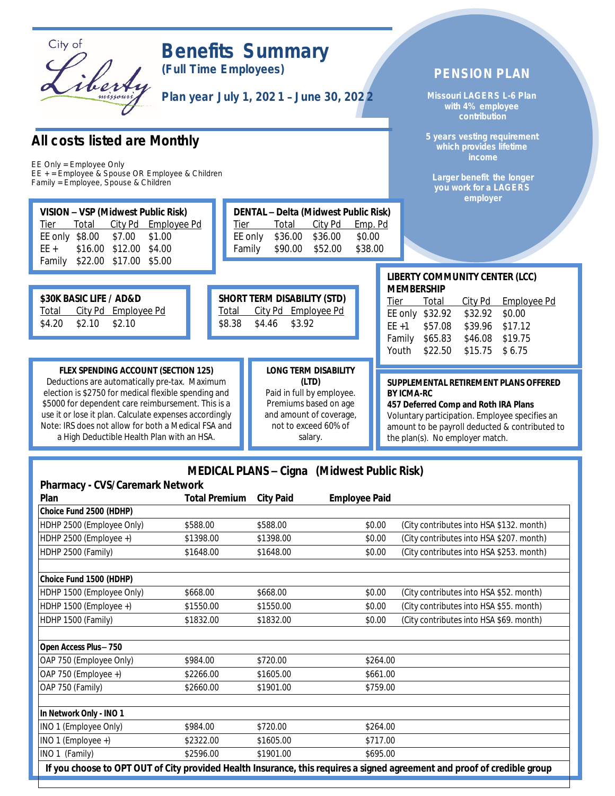

# *Benefits Summary*

*(Full Time Employees)*

*Plan year July 1, 202 1* – *June 30, 202 2*

### *All costs listed are Monthly*

*EE Only = Employee Only EE + = Employee & Spouse OR Employee & Children Family = Employee, Spouse & Children*

|                                                                                                                                                                                                              |                                    |                                    |                                                                       |                              |                   |                                     | employer                        |                 |
|--------------------------------------------------------------------------------------------------------------------------------------------------------------------------------------------------------------|------------------------------------|------------------------------------|-----------------------------------------------------------------------|------------------------------|-------------------|-------------------------------------|---------------------------------|-----------------|
| VISION - VSP (Midwest Public Risk)<br>City Pd Employee Pd<br><b>Total</b><br><b>Tier</b><br>EE only<br>\$8.00<br>\$7.00<br>\$1.00<br>\$16.00<br>\$12.00 \$4.00<br>$EE +$<br>\$22.00 \$17.00 \$5.00<br>Family | <u>Tier</u><br>EE only<br>Family   | <b>Total</b><br>\$36.00<br>\$90.00 | DENTAL - Delta (Midwest Public Risk)<br>City Pd<br>\$36.00<br>\$52.00 | Emp. Pd<br>\$0.00<br>\$38.00 |                   |                                     |                                 |                 |
| \$30K BASIC LIFE / AD&D                                                                                                                                                                                      | <b>SHORT TERM DISABILITY (STD)</b> |                                    |                                                                       |                              | <b>MEMBERSHIP</b> |                                     | <b>LIBERTY COMMUNITY CENTER</b> |                 |
| City Pd Employee Pd<br><b>Total</b><br>\$4.20<br>\$2.10<br>\$2.10                                                                                                                                            | Total<br>\$8.38<br>\$4.46          | \$3.92                             | City Pd Employee Pd                                                   |                              | Tier<br>$EE + 1$  | Total<br>EE only \$32.92<br>\$57.08 | City Pd<br>\$32.92<br>\$39.96   | Er<br>\$<br>\$1 |
|                                                                                                                                                                                                              |                                    |                                    |                                                                       |                              | Family            | \$65.83                             | \$46.08                         | \$1             |

#### **FLEX SPENDING ACCOUNT (SECTION 125)**

Deductions are automatically pre-tax. Maximum election is \$2750 for medical flexible spending and \$5000 for dependent care reimbursement. This is a use it or lose it plan. Calculate expenses accordingly Note: IRS does not allow for both a Medical FSA and a High Deductible Health Plan with an HSA.

#### **LONG TERM DISABILITY (LTD)** Paid in full by employee. Premiums based on age and amount of coverage, not to exceed 60% of

salary.

## **R** (LCC)

*PENSION PLAN*

*Missouri LAGERS L-6 Plan with 4% employee contribution*

*5 years vesting requirement which provides lifetime income*

*Larger benefit the longer you work for a LAGERS*

|                 |                  | Tier Total City Pd Employee Pd |
|-----------------|------------------|--------------------------------|
| EE only \$32.92 | \$32.92 \$0.00   |                                |
| EE +1 \$57.08   | \$39.96 \$17.12  |                                |
| Family \$65.83  | \$46.08 \$19.75  |                                |
| Youth \$22.50   | $$15.75$ $$6.75$ |                                |
|                 |                  |                                |

#### **SUPPLEMENTAL RETIREMENT PLANS OFFERED BY ICMA-RC**

**457 Deferred Comp and Roth IRA Plans** Voluntary participation. Employee specifies an amount to be payroll deducted & contributed to the plan(s). No employer match.

### **MEDICAL PLANS – Cigna (Midwest Public Risk)**

| Plan                      | <b>Total Premium</b> | <b>City Paid</b> | <b>Employee Paid</b> |                                                                                                                          |
|---------------------------|----------------------|------------------|----------------------|--------------------------------------------------------------------------------------------------------------------------|
| Choice Fund 2500 (HDHP)   |                      |                  |                      |                                                                                                                          |
| HDHP 2500 (Employee Only) | \$588.00             | \$588.00         | \$0.00               | (City contributes into HSA \$132. month)                                                                                 |
| HDHP 2500 (Employee +)    | \$1398.00            | \$1398.00        | \$0.00               | (City contributes into HSA \$207. month)                                                                                 |
| HDHP 2500 (Family)        | \$1648.00            | \$1648.00        | \$0.00               | (City contributes into HSA \$253. month)                                                                                 |
| Choice Fund 1500 (HDHP)   |                      |                  |                      |                                                                                                                          |
| HDHP 1500 (Employee Only) | \$668.00             | \$668.00         | \$0.00               | (City contributes into HSA \$52. month)                                                                                  |
| HDHP 1500 (Employee +)    | \$1550.00            | \$1550.00        | \$0.00               | (City contributes into HSA \$55. month)                                                                                  |
| HDHP 1500 (Family)        | \$1832.00            | \$1832.00        | \$0.00               | (City contributes into HSA \$69. month)                                                                                  |
| Open Access Plus-750      |                      |                  |                      |                                                                                                                          |
| OAP 750 (Employee Only)   | \$984.00             | \$720.00         | \$264.00             |                                                                                                                          |
| OAP 750 (Employee +)      | \$2266.00            | \$1605.00        | \$661.00             |                                                                                                                          |
| OAP 750 (Family)          | \$2660.00            | \$1901.00        | \$759.00             |                                                                                                                          |
| In Network Only - INO 1   |                      |                  |                      |                                                                                                                          |
| INO 1 (Employee Only)     | \$984.00             | \$720.00         | \$264.00             |                                                                                                                          |
| INO 1 (Employee +)        | \$2322.00            | \$1605.00        | \$717.00             |                                                                                                                          |
| INO 1 (Family)            | \$2596.00            | \$1901.00        | \$695.00             |                                                                                                                          |
|                           |                      |                  |                      | If you choose to OPT OUT of City provided Health Insurance, this requires a signed agreement and proof of credible group |